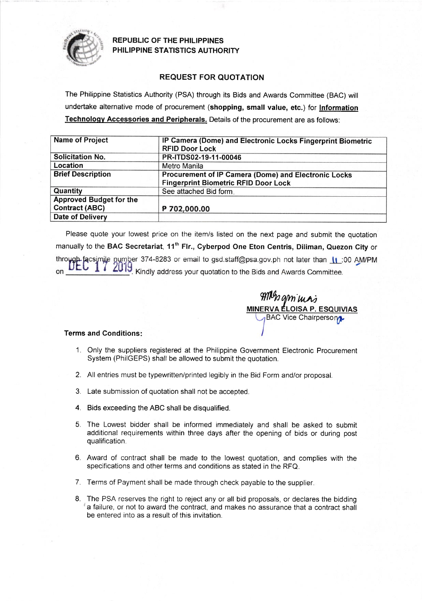

**REPUBLIC OF THE PHILIPPINES** PHILIPPINE STATISTICS AUTHORITY

## REQUEST FOR QUOTATION

The Philippine Statistics Authority (PSA) through its Bids and Awards Committee (BAC) will undertake alternative mode of procurement (shopping, small value, etc.) for lnformation Technology Accessories and Peripherals. Details of the procurement are as follows:

| <b>Name of Project</b>                                  | IP Camera (Dome) and Electronic Locks Fingerprint Biometric<br><b>RFID Door Lock</b>                |  |
|---------------------------------------------------------|-----------------------------------------------------------------------------------------------------|--|
| <b>Solicitation No.</b>                                 | PR-ITDS02-19-11-00046                                                                               |  |
| Location                                                | Metro Manila                                                                                        |  |
| <b>Brief Description</b>                                | Procurement of IP Camera (Dome) and Electronic Locks<br><b>Fingerprint Biometric RFID Door Lock</b> |  |
| Quantity                                                | See attached Bid form.                                                                              |  |
| <b>Approved Budget for the</b><br><b>Contract (ABC)</b> | P 702,000.00                                                                                        |  |
| <b>Date of Delivery</b>                                 |                                                                                                     |  |

Please quote your lowest price on the item/s listed on the next page and submit the quotation manually to the BAC Secretariat, 11<sup>th</sup> Flr., Cyberpod One Eton Centris, Diliman, Quezon City or through facsimile number 374-8283 or email to gsd.staff@psa.gov.ph not later than 11:00 AM/PM **DEC** 2019 Kindly address your quotation to the Bids and Awards Committee.  $\mathbf{1}$ on

gmimas ELOISA P. E **BAC Vice Chairpersong** trrw

## Terms and Conditions

- 1. Only the suppliers registered at the Philippine Government Electronic Procurement System (PhilGEPS) shall be allowed to submit the quotation.
- 2. All entries must be typewritten/printed legibly in the Bid Form and/or proposal.
- 3. Late submission of quotation shall not be accepted.
- 4. Bids exceeding the ABC shall be disqualified.
- 5. The Lowest bidder shall be informed immediately and shall be asked to submit additional requirements within three days after the opening of bids or during post qualification.
- 6. Award of contract shall be made to the lowest quotation, and complies with the specifications and other terms and conditions as stated in the RFQ
- 7. Terms of Payment shall be made through check payable to the supplier
- 8. The PSA reserves the right to reject any or all bid proposals, or declares the bidding 'a failure, or not to award the contract, and makes no assurance that a contract shall be entered into as a result of this invitation.